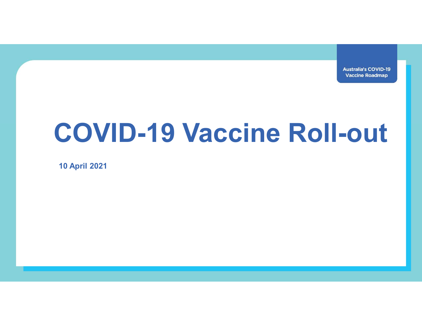**Australia's COVID-19 Vaccine Roadmap** 

## COVID-19 Vaccine Roll-out

10 April 2021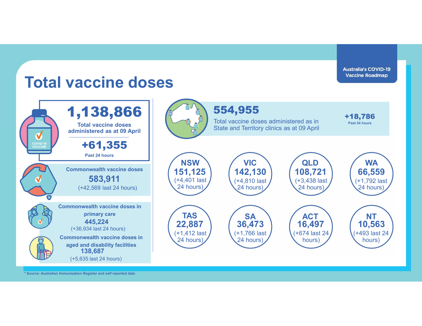

\* Source: Australian Immunisation Register and self reported data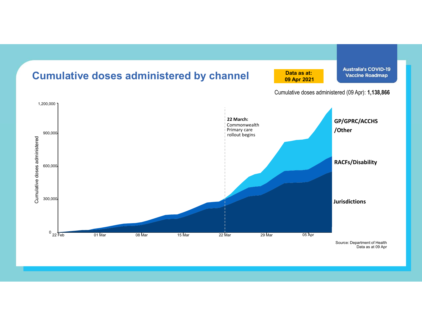

Data as at 09 Apr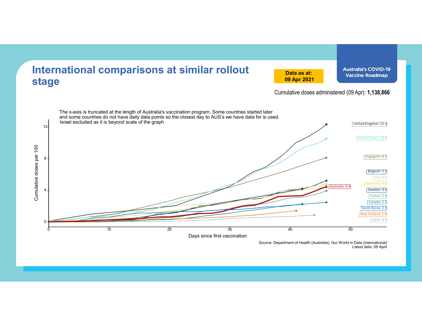

Source: Department of Health (Australia), Our World in Data (international) Latest data: 09 April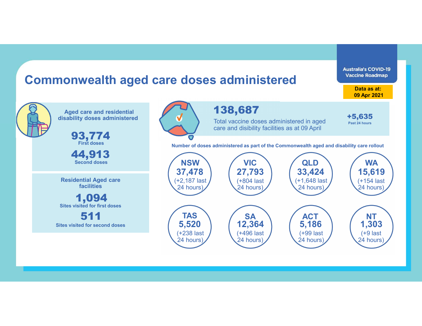